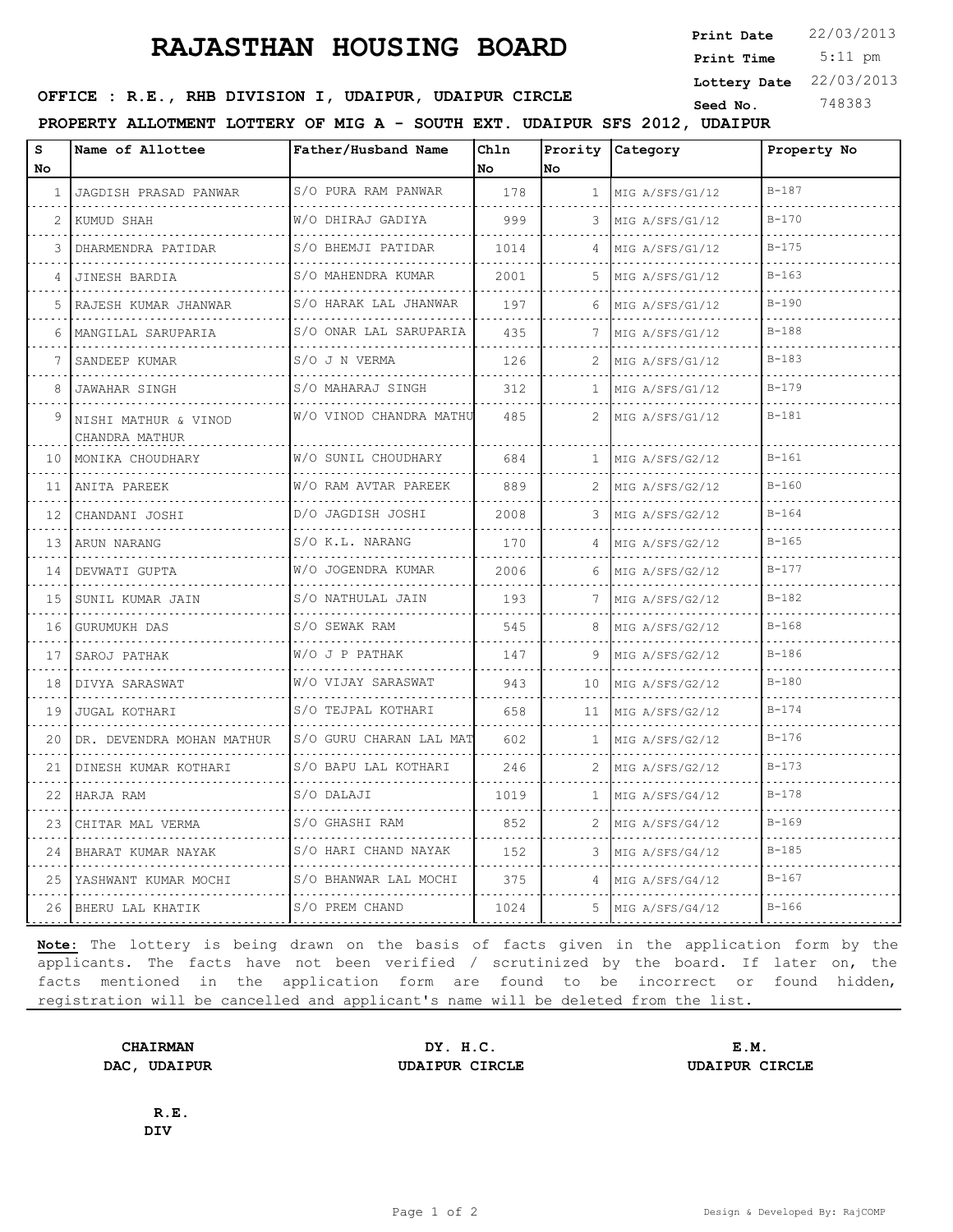## **RAJASTHAN HOUSING BOARD**

 5:11 pm **Print Date**  $22/03/2013$ **Print Time Lottery Date** 22/03/2013

**SEED OFFICE : R.E., RHB DIVISION I, UDAIPUR, UDAIPUR CIRCLE** Seed No. 348383

**PROPERTY ALLOTMENT LOTTERY OF MIG A - SOUTH EXT. UDAIPUR SFS 2012, UDAIPUR**

| s<br>No | Name of Allottee                       | Father/Husband Name      | Chln<br>No | No           | Prority Category     | Property No |
|---------|----------------------------------------|--------------------------|------------|--------------|----------------------|-------------|
| -1.     | JAGDISH PRASAD PANWAR                  | S/O PURA RAM PANWAR<br>. | 178        | $\mathbf{1}$ | MIG A/SFS/G1/12<br>. | $B - 187$   |
| 2       | KUMUD SHAH                             | W/O DHIRAJ GADIYA        | 999        | 3            | MIG A/SFS/G1/12<br>. | $B - 170$   |
| 3       | DHARMENDRA PATIDAR                     | S/O BHEMJI PATIDAR       | 1014       | 4            | MIG A/SFS/G1/12      | $B - 175$   |
| 4       | JINESH BARDIA                          | S/O MAHENDRA KUMAR<br>.  | 2001       | 5.           | MIG A/SFS/G1/12      | $B - 163$   |
| 5       | RAJESH KUMAR JHANWAR                   | S/O HARAK LAL JHANWAR    | 197        | 6            | MIG A/SFS/G1/12      | $B - 190$   |
| 6       | MANGILAL SARUPARIA                     | S/O ONAR LAL SARUPARIA   | 435        | 7            | MIG A/SFS/G1/12      | $B - 188$   |
| 7       | SANDEEP KUMAR                          | S/O J N VERMA            | 126        |              | MIG A/SFS/G1/12      | $B-183$     |
| 8       | <b>JAWAHAR SINGH</b>                   | S/O MAHARAJ SINGH        | 312        | $\mathbf{1}$ | MIG A/SFS/G1/12      | $B - 179$   |
| 9       | NISHI MATHUR & VINOD<br>CHANDRA MATHUR | W/O VINOD CHANDRA MATHU  | 485        | 2            | MIG A/SFS/G1/12      | $B - 181$   |
| 10      | MONIKA CHOUDHARY                       | W/O SUNIL CHOUDHARY      | 684        | $\mathbf{1}$ | MIG A/SFS/G2/12      | $B - 161$   |
| 11      | ANITA PAREEK                           | W/O RAM AVTAR PAREEK     | 889        | 2            | MIG A/SFS/G2/12      | $B - 160$   |
| 12      | CHANDANI JOSHI                         | D/O JAGDISH JOSHI<br>.   | 2008       | 3            | MIG A/SFS/G2/12      | $B - 164$   |
| 13      | ARUN NARANG                            | S/O K.L. NARANG          | 170        | 4            | MIG A/SFS/G2/12      | $B - 165$   |
| 14      | DEVWATI GUPTA                          | W/O JOGENDRA KUMAR       | 2006       | 6            | MIG A/SFS/G2/12      | $B - 177$   |
| 15      | SUNIL KUMAR JAIN                       | S/O NATHULAL JAIN        | 193        | 7            | MIG A/SFS/G2/12<br>. | $B - 182$   |
| 16      | GURUMUKH DAS                           | S/O SEWAK RAM            | 545        | 8            | MIG A/SFS/G2/12      | $B - 168$   |
| 17      | SAROJ PATHAK                           | W/O J P PATHAK           | 147        | 9            | MIG A/SFS/G2/12      | $B - 186$   |
| 18      | DIVYA SARASWAT                         | W/O VIJAY SARASWAT       | 943        | 10           | MIG A/SFS/G2/12      | $B - 180$   |
| 19      | <b>JUGAL KOTHARI</b>                   | S/O TEJPAL KOTHARI       | 658        | 11           | MIG A/SFS/G2/12      | $B - 174$   |
| 20      | DR. DEVENDRA MOHAN MATHUR              | S/O GURU CHARAN LAL MAT  | 602        | 1            | MIG A/SFS/G2/12      | $B - 176$   |
| 21      | DINESH KUMAR KOTHARI                   | S/O BAPU LAL KOTHARI     | 246        |              | MIG A/SFS/G2/12      | $B - 173$   |
| 22      | HARJA RAM                              | S/O DALAJI               | 1019       | 1            | MIG A/SFS/G4/12      | $B - 178$   |
| 23      | CHITAR MAL VERMA                       | S/O GHASHI RAM           | 852        | 2            | MIG A/SFS/G4/12      | $B - 169$   |
| 24      | BHARAT KUMAR NAYAK                     | S/O HARI CHAND NAYAK     | 152        | 3            | MIG A/SFS/G4/12      | $B - 185$   |
| 25      | YASHWANT KUMAR MOCHI<br>.              | S/O BHANWAR LAL MOCHI    | 375        |              | MIG A/SFS/G4/12<br>. | $B - 167$   |
|         | 26 BHERU LAL KHATIK                    | S/O PREM CHAND           | 1024       | 5            | MIG A/SFS/G4/12      | $B-166$     |

**Note:** The lottery is being drawn on the basis of facts given in the application form by the applicants. The facts have not been verified / scrutinized by the board. If later on, the facts mentioned in the application form are found to be incorrect or found hidden, registration will be cancelled and applicant's name will be deleted from the list.

**CHAIRMAN DY. H.C. E.M. DAC, UDAIPUR UDAIPUR CIRCLE UDAIPUR CIRCLE**

**R.E. DIV**